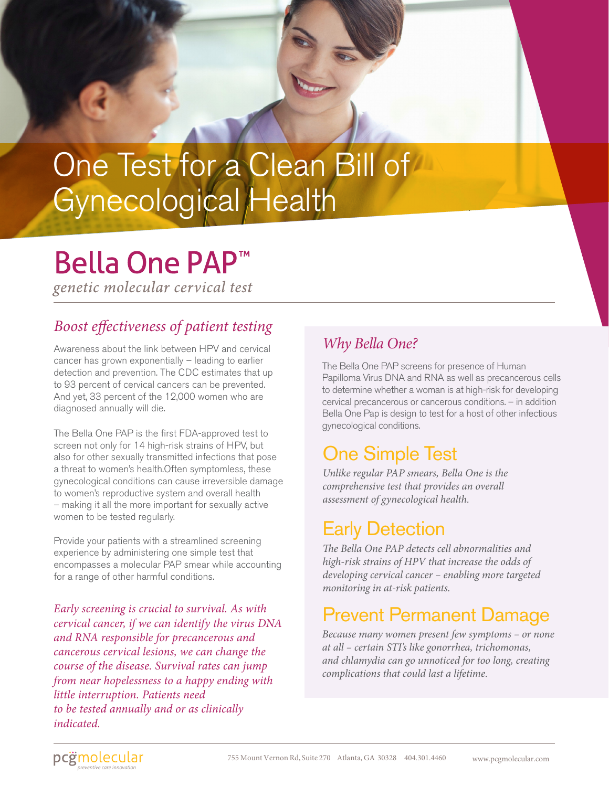## One Test for a Clean Bill of Gynecological Health

## **Bella One PAP<sup>™</sup>**

genetic molecular cervical test

### *Boost effectiveness of patient testing*

Awareness about the link between HPV and cervical cancer has grown exponentially – leading to earlier detection and prevention. The CDC estimates that up to 93 percent of cervical cancers can be prevented. And yet, 33 percent of the 12,000 women who are diagnosed annually will die.

The Bella One PAP is the first FDA-approved test to screen not only for 14 high-risk strains of HPV, but also for other sexually transmitted infections that pose a threat to women's health.Often symptomless, these gynecological conditions can cause irreversible damage to women's reproductive system and overall health – making it all the more important for sexually active women to be tested regularly.

Provide your patients with a streamlined screening experience by administering one simple test that encompasses a molecular PAP smear while accounting for a range of other harmful conditions.

*Early screening is crucial to survival. As with cervical cancer, if we can identify the virus DNA and RNA responsible for precancerous and cancerous cervical lesions, we can change the course of the disease. Survival rates can jump from near hopelessness to a happy ending with little interruption. Patients need to be tested annually and or as clinically indicated.*

### *Why Bella One?*

The Bella One PAP screens for presence of Human Papilloma Virus DNA and RNA as well as precancerous cells to determine whether a woman is at high-risk for developing cervical precancerous or cancerous conditions. – in addition Bella One Pap is design to test for a host of other infectious gynecological conditions.

## One Simple Test

*Unlike regular PAP smears, Bella One is the comprehensive test that provides an overall assessment of gynecological health.* 

## Early Detection

*The Bella One PAP detects cell abnormalities and high-risk strains of HPV that increase the odds of developing cervical cancer – enabling more targeted monitoring in at-risk patients.* 

## Prevent Permanent Damage

*Because many women present few symptoms – or none at all – certain STI's like gonorrhea, trichomonas, and chlamydia can go unnoticed for too long, creating complications that could last a lifetime.*